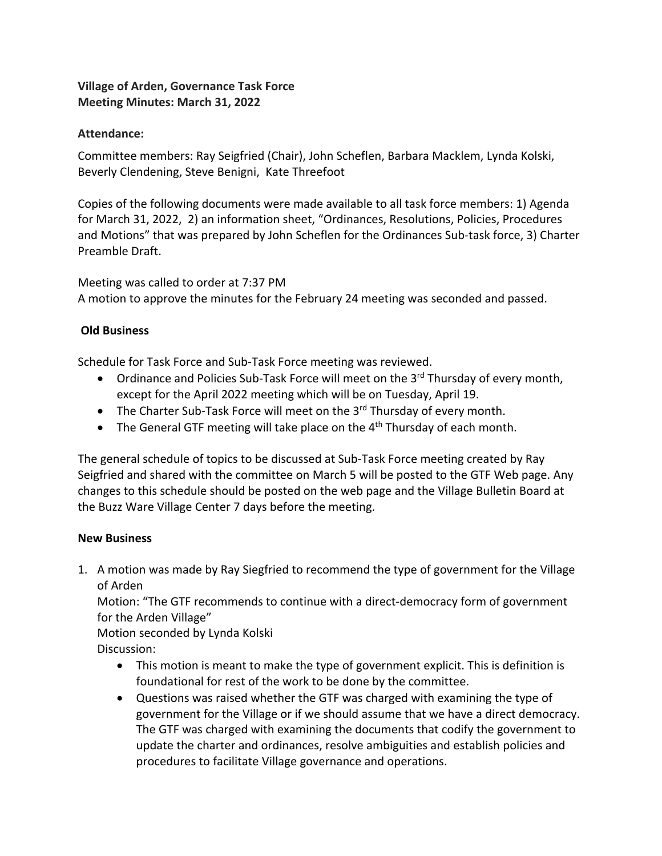## **Village of Arden, Governance Task Force Meeting Minutes: March 31, 2022**

## **Attendance:**

Committee members: Ray Seigfried (Chair), John Scheflen, Barbara Macklem, Lynda Kolski, Beverly Clendening, Steve Benigni, Kate Threefoot

Copies of the following documents were made available to all task force members: 1) Agenda for March 31, 2022, 2) an information sheet, "Ordinances, Resolutions, Policies, Procedures and Motions" that was prepared by John Scheflen for the Ordinances Sub-task force, 3) Charter Preamble Draft.

Meeting was called to order at 7:37 PM A motion to approve the minutes for the February 24 meeting was seconded and passed.

## **Old Business**

Schedule for Task Force and Sub-Task Force meeting was reviewed.

- Ordinance and Policies Sub-Task Force will meet on the  $3<sup>rd</sup>$  Thursday of every month, except for the April 2022 meeting which will be on Tuesday, April 19.
- The Charter Sub-Task Force will meet on the  $3^{rd}$  Thursday of every month.
- The General GTF meeting will take place on the  $4<sup>th</sup>$  Thursday of each month.

The general schedule of topics to be discussed at Sub-Task Force meeting created by Ray Seigfried and shared with the committee on March 5 will be posted to the GTF Web page. Any changes to this schedule should be posted on the web page and the Village Bulletin Board at the Buzz Ware Village Center 7 days before the meeting.

## **New Business**

1. A motion was made by Ray Siegfried to recommend the type of government for the Village of Arden

Motion: "The GTF recommends to continue with a direct-democracy form of government for the Arden Village"

Motion seconded by Lynda Kolski

Discussion:

- This motion is meant to make the type of government explicit. This is definition is foundational for rest of the work to be done by the committee.
- Questions was raised whether the GTF was charged with examining the type of government for the Village or if we should assume that we have a direct democracy. The GTF was charged with examining the documents that codify the government to update the charter and ordinances, resolve ambiguities and establish policies and procedures to facilitate Village governance and operations.